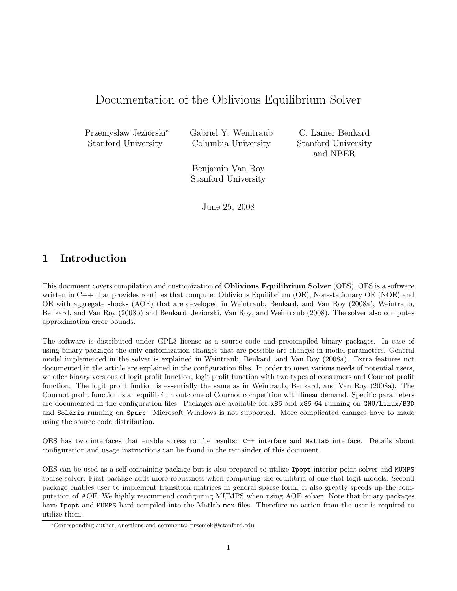# Documentation of the Oblivious Equilibrium Solver

Przemyslaw Jeziorski<sup>∗</sup> Stanford University

Gabriel Y. Weintraub Columbia University

C. Lanier Benkard Stanford University and NBER

Benjamin Van Roy Stanford University

June 25, 2008

## 1 Introduction

This document covers compilation and customization of Oblivious Equilibrium Solver (OES). OES is a software written in C++ that provides routines that compute: Oblivious Equilibrium (OE), Non-stationary OE (NOE) and OE with aggregate shocks (AOE) that are developed in Weintraub, Benkard, and Van Roy (2008a), Weintraub, Benkard, and Van Roy (2008b) and Benkard, Jeziorski, Van Roy, and Weintraub (2008). The solver also computes approximation error bounds.

The software is distributed under GPL3 license as a source code and precompiled binary packages. In case of using binary packages the only customization changes that are possible are changes in model parameters. General model implemented in the solver is explained in Weintraub, Benkard, and Van Roy (2008a). Extra features not documented in the article are explained in the configuration files. In order to meet various needs of potential users, we offer binary versions of logit profit function, logit profit function with two types of consumers and Cournot profit function. The logit profit funtion is essentially the same as in Weintraub, Benkard, and Van Roy (2008a). The Cournot profit function is an equilibrium outcome of Cournot competition with linear demand. Specific parameters are documented in the configuration files. Packages are available for x86 and x86.64 running on GNU/Linux/BSD and Solaris running on Sparc. Microsoft Windows is not supported. More complicated changes have to made using the source code distribution.

OES has two interfaces that enable access to the results: C++ interface and Matlab interface. Details about configuration and usage instructions can be found in the remainder of this document.

OES can be used as a self-containing package but is also prepared to utilize Ipopt interior point solver and MUMPS sparse solver. First package adds more robustness when computing the equilibria of one-shot logit models. Second package enables user to implement transition matrices in general sparse form, it also greatly speeds up the computation of AOE. We highly recommend configuring MUMPS when using AOE solver. Note that binary packages have Ipopt and MUMPS hard compiled into the Matlab mex files. Therefore no action from the user is required to utilize them.

<sup>∗</sup>Corresponding author, questions and comments: przemekj@stanford.edu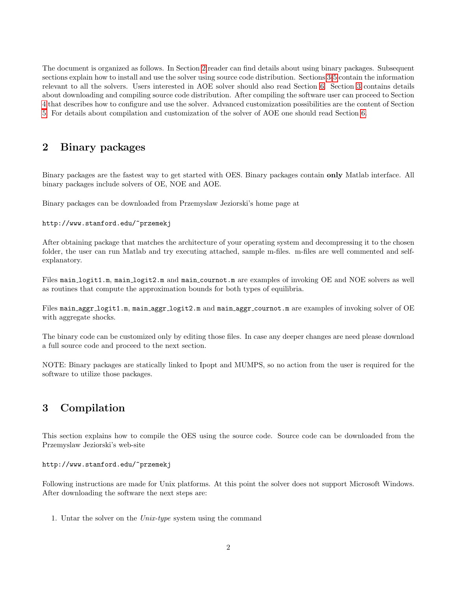The document is organized as follows. In Section [2](#page-1-0) reader can find details about using binary packages. Subsequent sections explain how to install and use the solver using source code distribution. Sections [3-](#page-1-1)[5](#page-5-0) contain the information relevant to all the solvers. Users interested in AOE solver should also read Section [6.](#page-7-0) Section [3](#page-1-1) contains details about downloading and compiling source code distribution. After compiling the software user can proceed to Section [4](#page-3-0) that describes how to configure and use the solver. Advanced customization possibilities are the content of Section [5.](#page-5-0) For details about compilation and customization of the solver of AOE one should read Section [6.](#page-7-0)

## <span id="page-1-0"></span>2 Binary packages

Binary packages are the fastest way to get started with OES. Binary packages contain only Matlab interface. All binary packages include solvers of OE, NOE and AOE.

Binary packages can be downloaded from Przemyslaw Jeziorski's home page at

### http://www.stanford.edu/~przemekj

After obtaining package that matches the architecture of your operating system and decompressing it to the chosen folder, the user can run Matlab and try executing attached, sample m-files. m-files are well commented and selfexplanatory.

Files main logit1.m, main logit2.m and main cournot.m are examples of invoking OE and NOE solvers as well as routines that compute the approximation bounds for both types of equilibria.

Files main aggr logit1.m, main aggr logit2.m and main aggr cournot.m are examples of invoking solver of OE with aggregate shocks.

The binary code can be customized only by editing those files. In case any deeper changes are need please download a full source code and proceed to the next section.

NOTE: Binary packages are statically linked to Ipopt and MUMPS, so no action from the user is required for the software to utilize those packages.

## <span id="page-1-1"></span>3 Compilation

This section explains how to compile the OES using the source code. Source code can be downloaded from the Przemyslaw Jeziorski's web-site

#### http://www.stanford.edu/~przemekj

Following instructions are made for Unix platforms. At this point the solver does not support Microsoft Windows. After downloading the software the next steps are:

1. Untar the solver on the Unix-type system using the command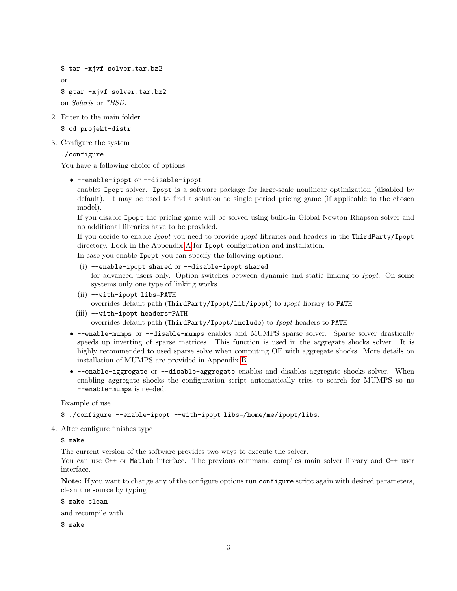```
$ tar -xjvf solver.tar.bz2
or
$ gtar -xjvf solver.tar.bz2
on Solaris or *BSD.
```
2. Enter to the main folder

\$ cd projekt-distr

3. Configure the system

./configure

You have a following choice of options:

• --enable-ipopt or --disable-ipopt

enables Ipopt solver. Ipopt is a software package for large-scale nonlinear optimization (disabled by default). It may be used to find a solution to single period pricing game (if applicable to the chosen model).

If you disable Ipopt the pricing game will be solved using build-in Global Newton Rhapson solver and no additional libraries have to be provided.

If you decide to enable Ipopt you need to provide Ipopt libraries and headers in the ThirdParty/Ipopt directory. Look in the Appendix [A](#page-8-0) for Ipopt configuration and installation.

In case you enable Ipopt you can specify the following options:

- $(i)$  --enable-ipopt\_shared or --disable-ipopt\_shared for advanced users only. Option switches between dynamic and static linking to Ipopt. On some systems only one type of linking works.
- (ii) --with-ipopt\_libs=PATH overrides default path (ThirdParty/Ipopt/lib/ipopt) to Ipopt library to PATH
- (iii) --with-ipopt\_headers=PATH overrides default path (ThirdParty/Ipopt/include) to Ipopt headers to PATH
- --enable-mumps or --disable-mumps enables and MUMPS sparse solver. Sparse solver drastically speeds up inverting of sparse matrices. This function is used in the aggregate shocks solver. It is highly recommended to used sparse solve when computing OE with aggregate shocks. More details on installation of MUMPS are provided in Appendix [B.](#page-9-0)
- --enable-aggregate or --disable-aggregate enables and disables aggregate shocks solver. When enabling aggregate shocks the configuration script automatically tries to search for MUMPS so no --enable-mumps is needed.

Example of use

```
$ ./configure --enable-ipopt --with-ipopt libs=/home/me/ipopt/libs.
```
4. After configure finishes type

\$ make

The current version of the software provides two ways to execute the solver.

You can use C<sup>++</sup> or Matlab interface. The previous command compiles main solver library and C<sup>++</sup> user interface.

Note: If you want to change any of the configure options run configure script again with desired parameters, clean the source by typing

\$ make clean

and recompile with

\$ make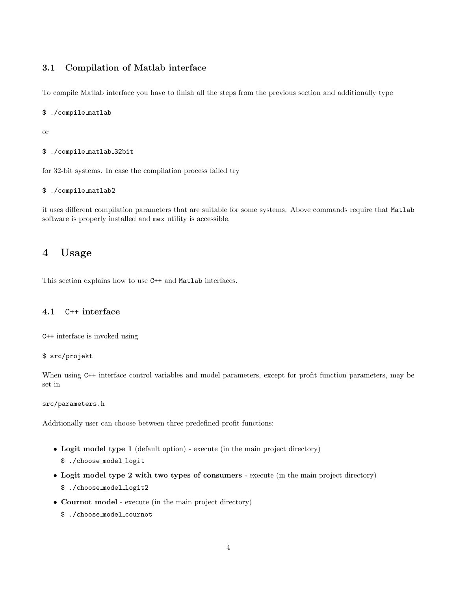### 3.1 Compilation of Matlab interface

To compile Matlab interface you have to finish all the steps from the previous section and additionally type

#### \$ ./compile matlab

or

```
$ ./compile matlab 32bit
```
for 32-bit systems. In case the compilation process failed try

### \$ ./compile matlab2

it uses different compilation parameters that are suitable for some systems. Above commands require that Matlab software is properly installed and mex utility is accessible.

## <span id="page-3-0"></span>4 Usage

This section explains how to use C++ and Matlab interfaces.

### 4.1 C++ interface

C++ interface is invoked using

### \$ src/projekt

When using  $C^{++}$  interface control variables and model parameters, except for profit function parameters, may be set in

### src/parameters.h

Additionally user can choose between three predefined profit functions:

- Logit model type 1 (default option) execute (in the main project directory)
	- \$ ./choose model logit
- Logit model type 2 with two types of consumers execute (in the main project directory) \$ ./choose model logit2
- Cournot model execute (in the main project directory)
	- \$ ./choose model cournot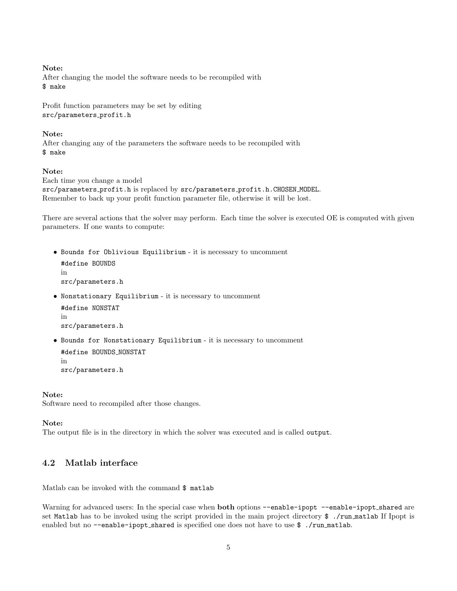Note: After changing the model the software needs to be recompiled with \$ make

Profit function parameters may be set by editing src/parameters\_profit.h

### Note:

After changing any of the parameters the software needs to be recompiled with \$ make

### Note:

Each time you change a model src/parameters profit.h is replaced by src/parameters profit.h.CHOSEN MODEL. Remember to back up your profit function parameter file, otherwise it will be lost.

There are several actions that the solver may perform. Each time the solver is executed OE is computed with given parameters. If one wants to compute:

• Bounds for Oblivious Equilibrium - it is necessary to uncomment #define BOUNDS in src/parameters.h

• Nonstationary Equilibrium - it is necessary to uncomment #define NONSTAT in

src/parameters.h

• Bounds for Nonstationary Equilibrium - it is necessary to uncomment #define BOUNDS\_NONSTAT in src/parameters.h

#### Note:

Software need to recompiled after those changes.

#### Note:

The output file is in the directory in which the solver was executed and is called output.

### 4.2 Matlab interface

Matlab can be invoked with the command \$ matlab

Warning for advanced users: In the special case when **both** options --enable-ipopt --enable-ipopt\_shared are set Matlab has to be invoked using the script provided in the main project directory \$ ./run matlab If Ipopt is enabled but no --enable-ipopt\_shared is specified one does not have to use \$ ./run\_matlab.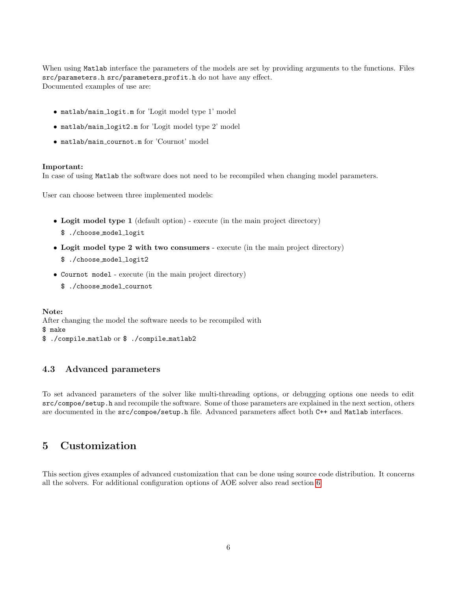When using Matlab interface the parameters of the models are set by providing arguments to the functions. Files src/parameters.h src/parameters profit.h do not have any effect. Documented examples of use are:

- matlab/main logit.m for 'Logit model type 1' model
- matlab/main logit2.m for 'Logit model type 2' model
- matlab/main cournot.m for 'Cournot' model

#### Important:

In case of using Matlab the software does not need to be recompiled when changing model parameters.

User can choose between three implemented models:

- Logit model type 1 (default option) execute (in the main project directory)
	- \$ ./choose model logit
- Logit model type 2 with two consumers execute (in the main project directory)
	- \$ ./choose model logit2
- Cournot model execute (in the main project directory)
	- \$ ./choose model cournot

Note: After changing the model the software needs to be recompiled with \$ make \$ ./compile matlab or \$ ./compile matlab2

### 4.3 Advanced parameters

To set advanced parameters of the solver like multi-threading options, or debugging options one needs to edit src/compoe/setup.h and recompile the software. Some of those parameters are explained in the next section, others are documented in the src/compoe/setup.h file. Advanced parameters affect both C++ and Matlab interfaces.

## <span id="page-5-0"></span>5 Customization

This section gives examples of advanced customization that can be done using source code distribution. It concerns all the solvers. For additional configuration options of AOE solver also read section [6.](#page-7-0)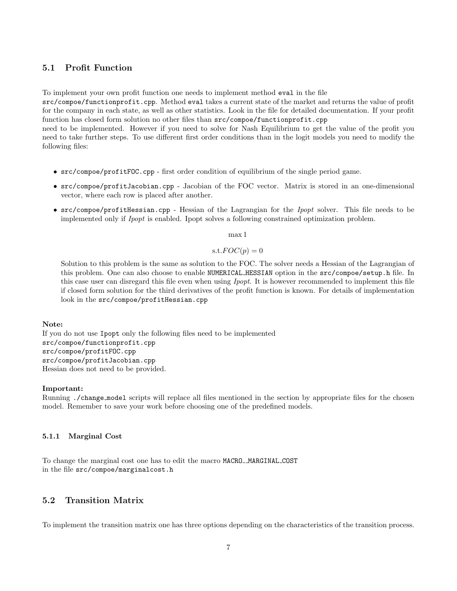## 5.1 Profit Function

To implement your own profit function one needs to implement method eval in the file

src/compoe/functionprofit.cpp. Method eval takes a current state of the market and returns the value of profit for the company in each state, as well as other statistics. Look in the file for detailed documentation. If your profit function has closed form solution no other files than src/compoe/functionprofit.cpp

need to be implemented. However if you need to solve for Nash Equilibrium to get the value of the profit you need to take further steps. To use different first order conditions than in the logit models you need to modify the following files:

- src/compoe/profitFOC.cpp first order condition of equilibrium of the single period game.
- src/compoe/profitJacobian.cpp Jacobian of the FOC vector. Matrix is stored in an one-dimensional vector, where each row is placed after another.
- src/compoe/profitHessian.cpp Hessian of the Lagrangian for the Ipopt solver. This file needs to be implemented only if Ipopt is enabled. Ipopt solves a following constrained optimization problem.

max 1

### $s.t. FOC(p) = 0$

Solution to this problem is the same as solution to the FOC. The solver needs a Hessian of the Lagrangian of this problem. One can also choose to enable NUMERICAL HESSIAN option in the src/compoe/setup.h file. In this case user can disregard this file even when using *Ipopt*. It is however recommended to implement this file if closed form solution for the third derivatives of the profit function is known. For details of implementation look in the src/compoe/profitHessian.cpp

### Note:

If you do not use Ipopt only the following files need to be implemented src/compoe/functionprofit.cpp src/compoe/profitFOC.cpp src/compoe/profitJacobian.cpp Hessian does not need to be provided.

#### Important:

Running ./change model scripts will replace all files mentioned in the section by appropriate files for the chosen model. Remember to save your work before choosing one of the predefined models.

### 5.1.1 Marginal Cost

To change the marginal cost one has to edit the macro MACRO\_MARGINAL\_COST in the file src/compoe/marginalcost.h

## 5.2 Transition Matrix

To implement the transition matrix one has three options depending on the characteristics of the transition process.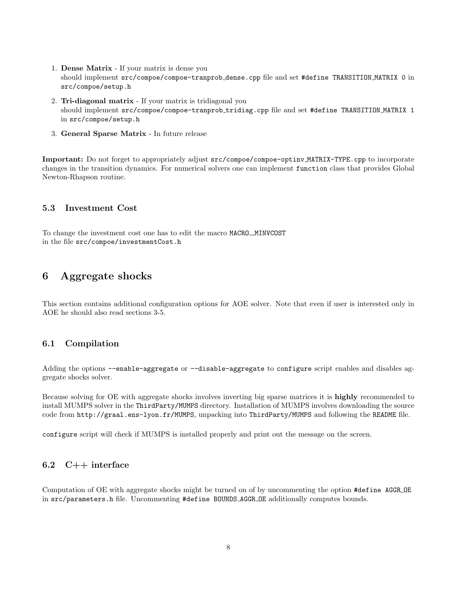- 1. Dense Matrix If your matrix is dense you should implement src/compoe/compoe-tranprob dense.cpp file and set #define TRANSITION MATRIX 0 in src/compoe/setup.h
- 2. Tri-diagonal matrix If your matrix is tridiagonal you should implement src/compoe/compoe-tranprob tridiag.cpp file and set #define TRANSITION MATRIX 1 in src/compoe/setup.h
- 3. General Sparse Matrix In future release

Important: Do not forget to appropriately adjust src/compoe/compoe-optinv MATRIX-TYPE.cpp to incorporate changes in the transition dynamics. For numerical solvers one can implement function class that provides Global Newton-Rhapson routine.

### 5.3 Investment Cost

To change the investment cost one has to edit the macro MACRO\_MINVCOST in the file src/compoe/investmentCost.h

## <span id="page-7-0"></span>6 Aggregate shocks

This section contains additional configuration options for AOE solver. Note that even if user is interested only in AOE he should also read sections 3-5.

### 6.1 Compilation

Adding the options --enable-aggregate or --disable-aggregate to configure script enables and disables aggregate shocks solver.

Because solving for OE with aggregate shocks involves inverting big sparse matrices it is highly recommended to install MUMPS solver in the ThirdParty/MUMPS directory. Installation of MUMPS involves downloading the source code from http://graal.ens-lyon.fr/MUMPS, unpacking into ThirdParty/MUMPS and following the README file.

configure script will check if MUMPS is installed properly and print out the message on the screen.

### 6.2 C++ interface

Computation of OE with aggregate shocks might be turned on of by uncommenting the option #define AGGR OE in src/parameters.h file. Uncommenting #define BOUNDS AGGR OE additionally computes bounds.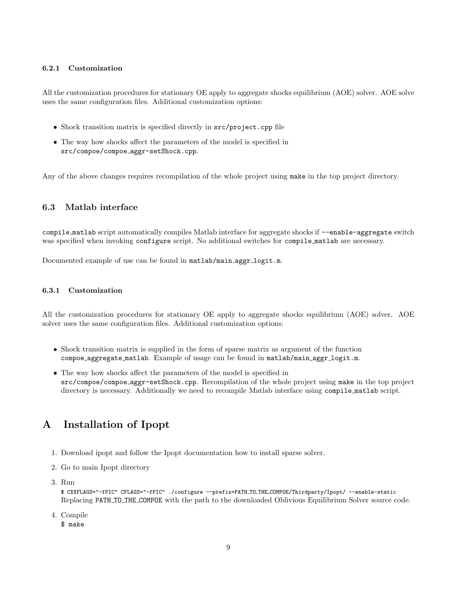### 6.2.1 Customization

All the customization procedures for stationary OE apply to aggregate shocks equilibrium (AOE) solver. AOE solve uses the same configuration files. Additional customization options:

- Shock transition matrix is specified directly in src/project.cpp file
- The way how shocks affect the parameters of the model is specified in src/compoe/compoe aggr-setShock.cpp.

Any of the above changes requires recompilation of the whole project using make in the top project directory.

## 6.3 Matlab interface

compile matlab script automatically compiles Matlab interface for aggregate shocks if --enable-aggregate switch was specified when invoking configure script. No additional switches for compile matlab are necessary.

Documented example of use can be found in matlab/main aggr logit.m.

### 6.3.1 Customization

All the customization procedures for stationary OE apply to aggregate shocks equilibrium (AOE) solver. AOE solver uses the same configuration files. Additional customization options:

- Shock transition matrix is supplied in the form of sparse matrix as argument of the function compoe aggregate matlab. Example of usage can be found in matlab/main aggr logit.m.
- The way how shocks affect the parameters of the model is specified in src/compoe/compoe aggr-setShock.cpp. Recompilation of the whole project using make in the top project directory is necessary. Additionally we need to recompile Matlab interface using compile matlab script.

# <span id="page-8-0"></span>A Installation of Ipopt

- 1. Download ipopt and follow the Ipopt documentation how to install sparse solver.
- 2. Go to main Ipopt directory
- 3. Run

\$ CXXFLAGS="-fPIC" CFLAGS="-fPIC" ./configure --prefix=PATH TO THE COMPOE/Thirdparty/Ipopt/ --enable-static Replacing PATH TO THE COMPOE with the path to the downloaded Oblivious Equilibrium Solver source code.

4. Compile

\$ make